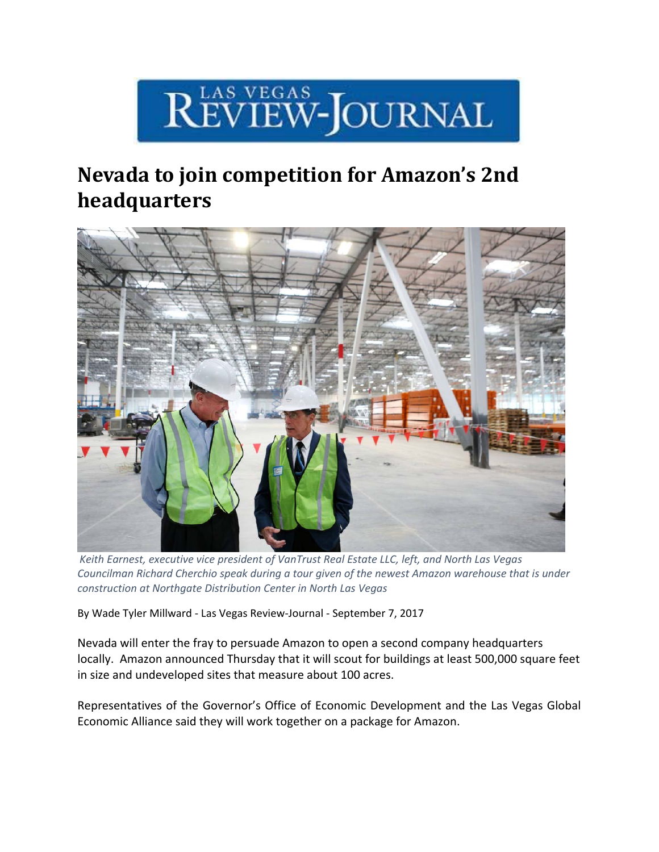

## **Nevada to join competition for Amazon's 2nd headquarters**



*Keith Earnest, executive vice president of VanTrust Real Estate LLC, left, and North Las Vegas Councilman Richard Cherchio speak during a tour given of the newest Amazon warehouse that is under construction at Northgate Distribution Center in North Las Vegas*

By Wade Tyler Millward ‐ Las Vegas Review‐Journal ‐ September 7, 2017

Nevada will enter the fray to persuade Amazon to open a second company headquarters locally. Amazon announced Thursday that it will scout for buildings at least 500,000 square feet in size and undeveloped sites that measure about 100 acres.

Representatives of the Governor's Office of Economic Development and the Las Vegas Global Economic Alliance said they will work together on a package for Amazon.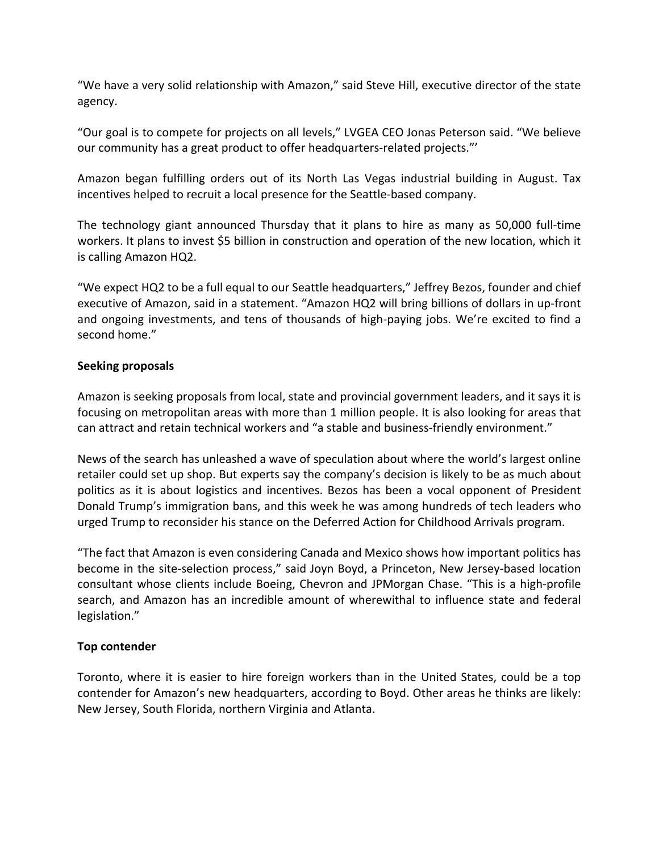"We have a very solid relationship with Amazon," said Steve Hill, executive director of the state agency.

"Our goal is to compete for projects on all levels," LVGEA CEO Jonas Peterson said. "We believe our community has a great product to offer headquarters‐related projects."'

Amazon began fulfilling orders out of its North Las Vegas industrial building in August. Tax incentives helped to recruit a local presence for the Seattle‐based company.

The technology giant announced Thursday that it plans to hire as many as 50,000 full‐time workers. It plans to invest \$5 billion in construction and operation of the new location, which it is calling Amazon HQ2.

"We expect HQ2 to be a full equal to our Seattle headquarters," Jeffrey Bezos, founder and chief executive of Amazon, said in a statement. "Amazon HQ2 will bring billions of dollars in up‐front and ongoing investments, and tens of thousands of high-paying jobs. We're excited to find a second home."

## **Seeking proposals**

Amazon is seeking proposals from local, state and provincial government leaders, and it says it is focusing on metropolitan areas with more than 1 million people. It is also looking for areas that can attract and retain technical workers and "a stable and business‐friendly environment."

News of the search has unleashed a wave of speculation about where the world's largest online retailer could set up shop. But experts say the company's decision is likely to be as much about politics as it is about logistics and incentives. Bezos has been a vocal opponent of President Donald Trump's immigration bans, and this week he was among hundreds of tech leaders who urged Trump to reconsider his stance on the Deferred Action for Childhood Arrivals program.

"The fact that Amazon is even considering Canada and Mexico shows how important politics has become in the site-selection process," said Joyn Boyd, a Princeton, New Jersey-based location consultant whose clients include Boeing, Chevron and JPMorgan Chase. "This is a high‐profile search, and Amazon has an incredible amount of wherewithal to influence state and federal legislation."

## **Top contender**

Toronto, where it is easier to hire foreign workers than in the United States, could be a top contender for Amazon's new headquarters, according to Boyd. Other areas he thinks are likely: New Jersey, South Florida, northern Virginia and Atlanta.